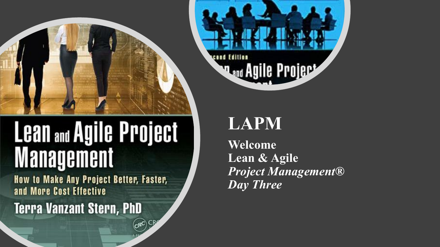

# **Lean and Agile Project Management**

How to Make Any Project Better, Faster, and More Cost Effective

 $_{\rm CR}$ C $_{\rm CR}$ 

**Terra Vanzant Stern, PhD** 



### **LAPM**

**Welcome Lean & Agile** *Project Management® Day Three*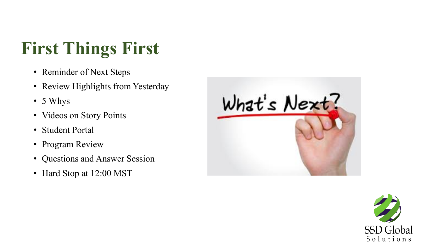## **First Things First**

- Reminder of Next Steps
- Review Highlights from Yesterday
- 5 Whys
- Videos on Story Points
- Student Portal
- Program Review
- Questions and Answer Session
- Hard Stop at 12:00 MST



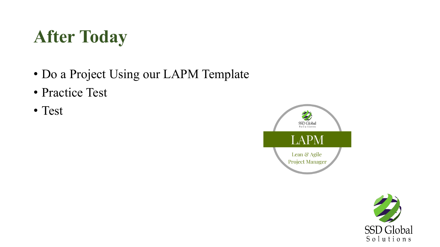## **After Today**

- Do a Project Using our LAPM Template
- Practice Test
- Test



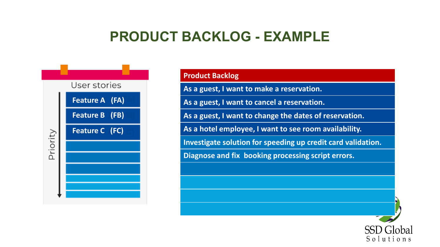### **PRODUCT BACKLOG - EXAMPLE**



| <b>Product Backlog</b>                                       |
|--------------------------------------------------------------|
| As a guest, I want to make a reservation.                    |
| As a guest, I want to cancel a reservation.                  |
| As a guest, I want to change the dates of reservation.       |
| As a hotel employee, I want to see room availability.        |
| Investigate solution for speeding up credit card validation. |
| Diagnose and fix booking processing script errors.           |
|                                                              |
|                                                              |

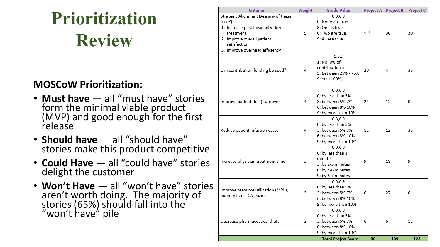## **Prioritization Review**

#### **MOSCoW Prioritization:**

- **Must have** all "must have" stories form the minimal viable product (MVP) and good enough for the first release
- **Should have** all "should have" stories make this product competitive
- **Could Have** all "could have" stories delight the customer
- Won't Have all "won't have" stories aren't worth doing. The majority of stories (65%) should fall into the "won't have" pile

| <b>Criterion</b>                                                                                      | Weight | <b>Grade Value</b>                                                                                    | <b>Project A</b> | <b>Project B</b> | <b>Project C</b> |
|-------------------------------------------------------------------------------------------------------|--------|-------------------------------------------------------------------------------------------------------|------------------|------------------|------------------|
| Strategic Alignment (Are any of these<br>$true?$ ) –<br>1. Increase post hospitalization<br>treatment | 5      | 0,3,6,9<br>0: None are true<br>3: One is true<br>6: Two are true                                      | $15^*$           | 30               | 30               |
| 2. Improve overall patient<br>satisfaction<br>3. Improve overhead efficiency                          |        | 9: All are true                                                                                       |                  |                  |                  |
| Can contribution funding be used?                                                                     | 4      | 1, 5, 9<br>1: No (0% of<br>contributions)<br>5: Between 25% - 75%<br>9: Yes (100%)                    | 20               | 4                | 36               |
| Improve patient (bed) turnover                                                                        | 4      | 0,3,6,9<br>0: by less than 5%<br>3: between 5%-7%<br>6: between 8%-10%<br>9: by more than 10%         | 24               | 12               | 0                |
| Reduce patient infection cases                                                                        | 4      | 0,3,6,9<br>0: by less than 5%<br>3: between 5%-7%<br>6: between 8%-10%<br>9: by more than 10%         | 12               | 12               | 36               |
| Increase physician treatment time                                                                     | 3      | 0,3,6,9<br>0: by less than 1<br>minute<br>3: by 2-3 minutes<br>6: by 4-6 minutes<br>9: by 6-7 minutes | 9                | 18               | 9                |
| Improve resource utilization (MRI's,<br>Surgery Beds, CAT scan)                                       | 3      | 0,3,6,9<br>0: by less than 5%<br>3: between 5%-7%<br>6: between 8%-10%<br>9: by more than 10%         | 0                | 27               | 0                |
| Decrease pharmaceutical theft                                                                         | 2      | 0,3,6,9<br>0: by less than 5%<br>3: between 5%-7%<br>6: between 8%-10%<br>9: by more than 10%         | 6                | 6                | 12               |
|                                                                                                       |        | <b>Total Project Score:</b>                                                                           | 86               | 109              | 123              |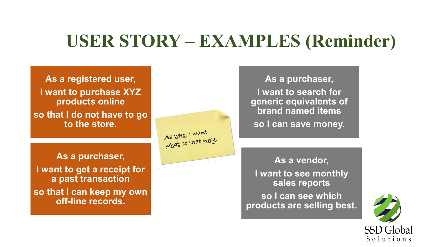### **USER STORY – EXAMPLES (Reminder)**

As who, I want what so that why.

**As a registered user, I want to purchase XYZ products online so that I do not have to go to the store.**

**As a purchaser, I want to get a receipt for a past transaction so that I can keep my own off-line records.**

**As a purchaser, I want to search for generic equivalents of brand named items so I can save money.**

**As a vendor, I want to see monthly sales reports** 

**so I can see which products are selling best.**

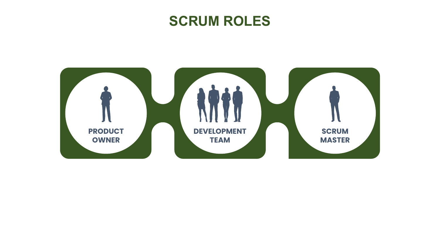### **SCRUM ROLES**

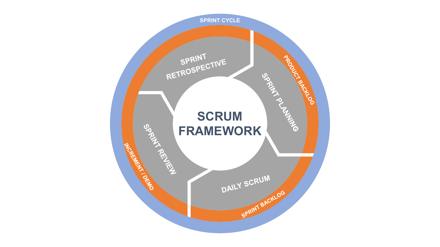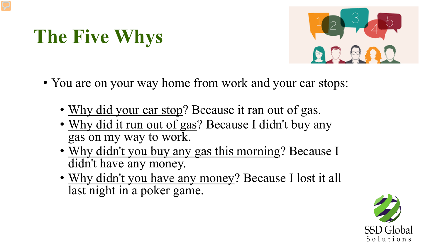## **The Five Whys**



- You are on your way home from work and your car stops:
	- Why did your car stop? Because it ran out of gas.
	- Why did it run out of gas? Because I didn't buy any gas on my way to work.
	- Why didn't you buy any gas this morning? Because I didn't have any money.
	- Why didn't you have any money? Because I lost it all last night in a poker game.

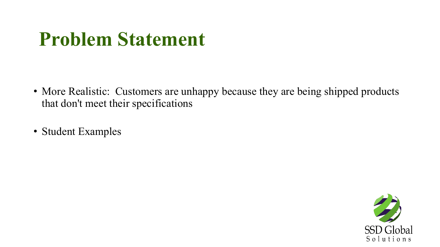## **Problem Statement**

- More Realistic: Customers are unhappy because they are being shipped products that don't meet their specifications
- Student Examples

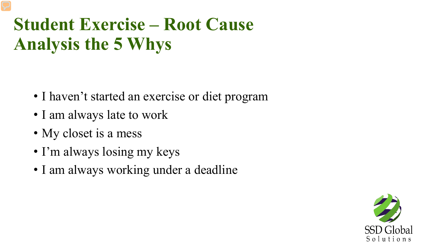## **Student Exercise – Root Cause Analysis the 5 Whys**

- I haven't started an exercise or diet program
- I am always late to work
- My closet is a mess
- I'm always losing my keys
- I am always working under a deadline

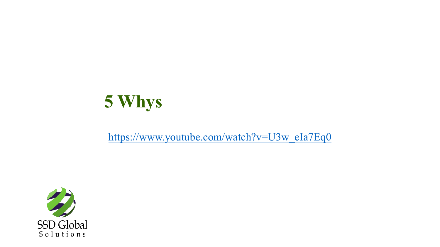

#### [https://www.youtube.com/watch?v=U3w\\_eIa7Eq0](https://www.youtube.com/watch?v=U3w_eIa7Eq0)

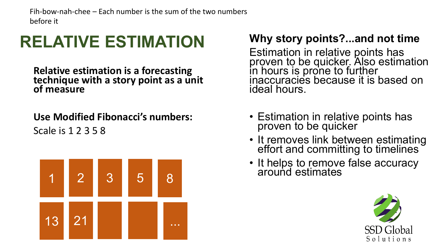Fih-bow-nah-chee – Each number is the sum of the two numbers before it

### **RELATIVE ESTIMATION**

**Relative estimation is a forecasting technique with a story point as a unit of measure** 

**Use Modified Fibonacci's numbers:** Scale is 1 2 3 5 8



### **Why story points?...and not time**

Estimation in relative points has proven to be quicker. Also estimation in hours is prone to further inaccuracies because it is based on ideal hours.

- Estimation in relative points has proven to be quicker
- It removes link between estimating effort and committing to timelines
- It helps to remove false accuracy

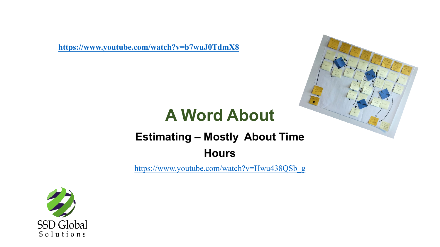**<https://www.youtube.com/watch?v=b7wuJ0TdmX8>**



### **A Word About**

### **Estimating – Mostly About Time Hours**

[https://www.youtube.com/watch?v=Hwu438QSb\\_g](https://www.youtube.com/watch?v=Hwu438QSb_g)

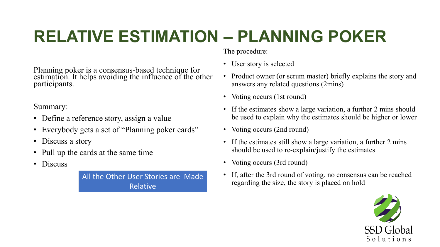### **RELATIVE ESTIMATION – PLANNING POKER**

Planning poker is a consensus-based technique for estimation. It helps avoiding the influence of the other participants.

#### Summary:

- Define a reference story, assign a value
- Everybody gets a set of "Planning poker cards"
- Discuss a story
- Pull up the cards at the same time
- Discuss

All the Other User Stories are Made Relative

The procedure:

- User story is selected
- Product owner (or scrum master) briefly explains the story and answers any related questions (2mins)
- Voting occurs (1st round)
- If the estimates show a large variation, a further 2 mins should be used to explain why the estimates should be higher or lower
- Voting occurs (2nd round)
- If the estimates still show a large variation, a further 2 mins should be used to re-explain/justify the estimates
- Voting occurs (3rd round)
- If, after the 3rd round of voting, no consensus can be reached regarding the size, the story is placed on hold

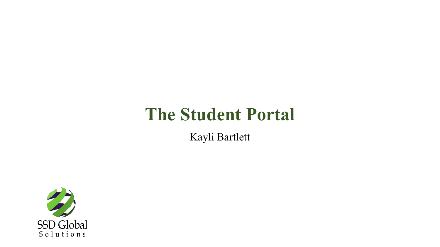### **The Student Portal**

Kayli Bartlett

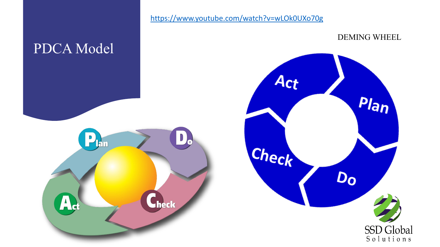

<https://www.youtube.com/watch?v=wLOk0UXo70g>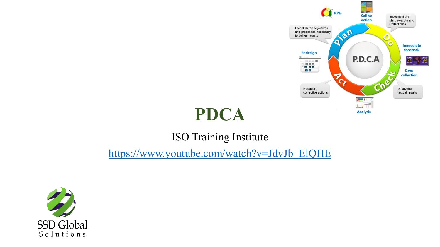

### **PDCA**

### ISO Training Institute

[https://www.youtube.com/watch?v=JdvJb\\_ElQHE](https://www.youtube.com/watch?v=JdvJb_ElQHE)

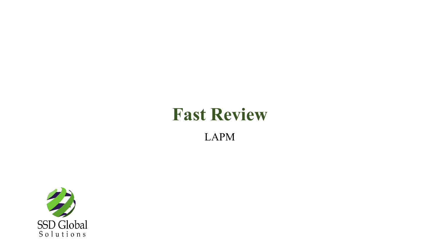### **Fast Review** LAPM

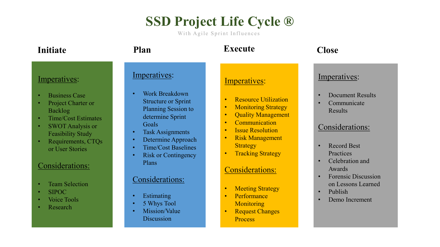### **SSD Project Life Cycle ®**

With Agile Sprint Influences

| Initiate                                                                                                                                                                                                                                                                                                        | Plan                                                                                                                                                                                                                                                                                                                                                          | <b>Execute</b>                                                                                                                                                                                                                                                                                                                                                                                                                                                                              | <b>Close</b>                                                                                                                                                                                                                                                                                                                     |
|-----------------------------------------------------------------------------------------------------------------------------------------------------------------------------------------------------------------------------------------------------------------------------------------------------------------|---------------------------------------------------------------------------------------------------------------------------------------------------------------------------------------------------------------------------------------------------------------------------------------------------------------------------------------------------------------|---------------------------------------------------------------------------------------------------------------------------------------------------------------------------------------------------------------------------------------------------------------------------------------------------------------------------------------------------------------------------------------------------------------------------------------------------------------------------------------------|----------------------------------------------------------------------------------------------------------------------------------------------------------------------------------------------------------------------------------------------------------------------------------------------------------------------------------|
| Imperatives:<br><b>Business Case</b><br>Project Charter or<br><b>Backlog</b><br><b>Time/Cost Estimates</b><br><b>SWOT Analysis or</b><br><b>Feasibility Study</b><br>Requirements, CTQs<br>or User Stories<br><b>Considerations:</b><br><b>Team Selection</b><br><b>SIPOC</b><br><b>Voice Tools</b><br>Research | Imperatives:<br><b>Work Breakdown</b><br><b>Structure or Sprint</b><br><b>Planning Session to</b><br>determine Sprint<br>Goals<br><b>Task Assignments</b><br>Determine Approach<br>$\bullet$<br><b>Time/Cost Baselines</b><br><b>Risk or Contingency</b><br>$\bullet$<br>Plans<br>Considerations:<br>Estimating<br>5 Whys Tool<br>Mission/Value<br>Discussion | Imperatives:<br><b>Resource Utilization</b><br>$\bullet$<br><b>Monitoring Strategy</b><br>$\bullet$<br><b>Quality Management</b><br>$\bullet$<br>Communication<br>$\bullet$<br><b>Issue Resolution</b><br>$\bullet$<br><b>Risk Management</b><br>$\bullet$<br><b>Strategy</b><br><b>Tracking Strategy</b><br>$\bullet$<br><b>Considerations:</b><br><b>Meeting Strategy</b><br>$\bullet$<br>Performance<br>$\bullet$<br>Monitoring<br><b>Request Changes</b><br>$\bullet$<br><b>Process</b> | Imperatives:<br><b>Document Results</b><br>$\bullet$<br>Communicate<br>$\bullet$<br>Results<br>Considerations:<br><b>Record Best</b><br>$\bullet$<br>Practices<br>Celebration and<br>$\bullet$<br>Awards<br><b>Forensic Discussion</b><br>$\bullet$<br>on Lessons Learned<br>Publish<br>$\bullet$<br>Demo Increment<br>$\bullet$ |